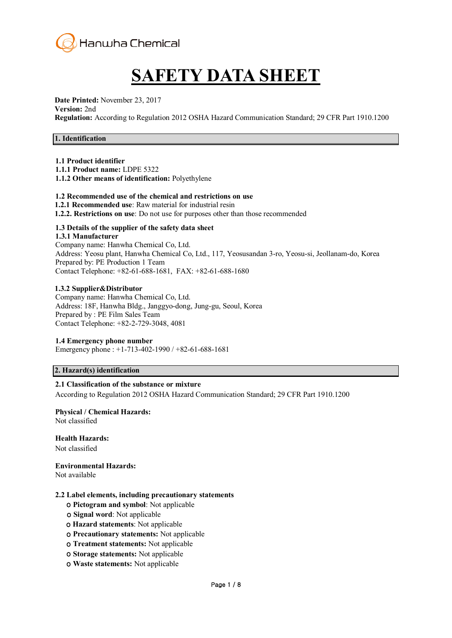

# **SAFETY DATA SHEET**

**Date Printed:** November 23, 2017 **Version:** 2nd **Regulation:** According to Regulation 2012 OSHA Hazard Communication Standard; 29 CFR Part 1910.1200

# **1. Identification**

# **1.1 Product identifier**

**1.1.1 Product name:** LDPE 5322

**1.1.2 Other means of identification:** Polyethylene

#### **1.2 Recommended use of the chemical and restrictions on use**

- **1.2.1 Recommended use**: Raw material for industrial resin
- **1.2.2. Restrictions on use**: Do not use for purposes other than those recommended

# **1.3 Details of the supplier of the safety data sheet**

#### **1.3.1 Manufacturer**

Company name: Hanwha Chemical Co, Ltd. Address: Yeosu plant, Hanwha Chemical Co, Ltd., 117, Yeosusandan 3-ro, Yeosu-si, Jeollanam-do, Korea Prepared by: PE Production 1 Team Contact Telephone: +82-61-688-1681, FAX: +82-61-688-1680

#### **1.3.2 Supplier&Distributor**

Company name: Hanwha Chemical Co, Ltd. Address: 18F, Hanwha Bldg., Janggyo-dong, Jung-gu, Seoul, Korea Prepared by : PE Film Sales Team Contact Telephone: +82-2-729-3048, 4081

#### **1.4 Emergency phone number**

Emergency phone : +1-713-402-1990 / +82-61-688-1681

# **2. Hazard(s) identification**

#### **2.1 Classification of the substance or mixture**

According to Regulation 2012 OSHA Hazard Communication Standard; 29 CFR Part 1910.1200

# **Physical / Chemical Hazards:**

Not classified

**Health Hazards:**

Not classified

**Environmental Hazards:**

Not available

#### **2.2 Label elements, including precautionary statements**

- ο **Pictogram and symbol**: Not applicable
- ο **Signal word**: Not applicable
- ο **Hazard statements**: Not applicable
- ο **Precautionary statements:** Not applicable
- ο **Treatment statements:** Not applicable
- ο **Storage statements:** Not applicable
- ο **Waste statements:** Not applicable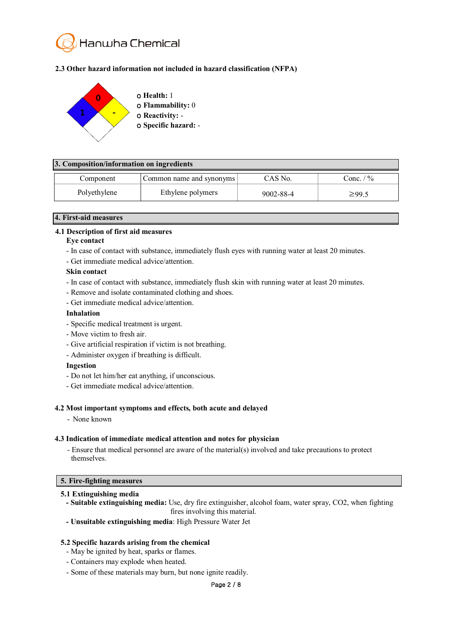

# **2.3 Other hazard information not included in hazard classification (NFPA)**



# **3. Composition/information on ingredients**

| Component    | Common name and synonyms | CAS No.   | $\frac{1}{2}$<br>$\circ$ onc. |
|--------------|--------------------------|-----------|-------------------------------|
| Polyethylene | Ethylene polymers        | 9002-88-4 | $\geq 99.5$                   |

#### **4. First-aid measures**

#### **4.1 Description of first aid measures**

#### **Eye contact**

- In case of contact with substance, immediately flush eyes with running water at least 20 minutes.
- Get immediate medical advice/attention.

#### **Skin contact**

- In case of contact with substance, immediately flush skin with running water at least 20 minutes.
- Remove and isolate contaminated clothing and shoes.
- Get immediate medical advice/attention.

#### **Inhalation**

- Specific medical treatment is urgent.
- Move victim to fresh air.
- Give artificial respiration if victim is not breathing.
- Administer oxygen if breathing is difficult.

#### **Ingestion**

- Do not let him/her eat anything, if unconscious.
- Get immediate medical advice/attention.

#### **4.2 Most important symptoms and effects, both acute and delayed**

- None known

#### **4.3 Indication of immediate medical attention and notes for physician**

- Ensure that medical personnel are aware of the material(s) involved and take precautions to protect themselves.

# **5. Fire-fighting measures**

#### **5.1 Extinguishing media**

- **- Suitable extinguishing media:** Use, dry fire extinguisher, alcohol foam, water spray, CO2, when fighting fires involving this material.
- **- Unsuitable extinguishing media**: High Pressure Water Jet

#### **5.2 Specific hazards arising from the chemical**

- May be ignited by heat, sparks or flames.
- Containers may explode when heated.
- Some of these materials may burn, but none ignite readily.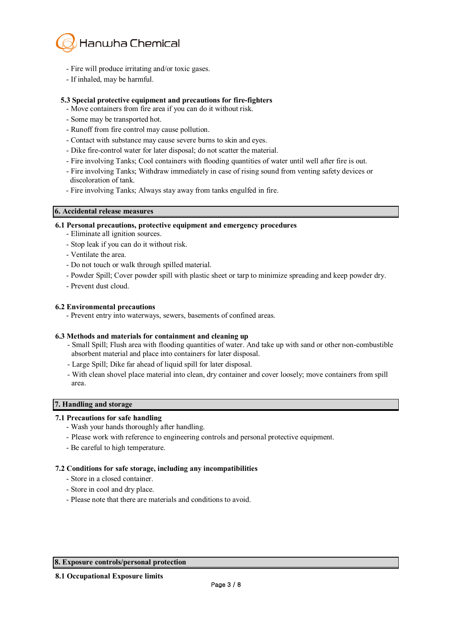

- Fire will produce irritating and/or toxic gases.
- If inhaled, may be harmful.

# **5.3 Special protective equipment and precautions for fire-fighters**

- Move containers from fire area if you can do it without risk.
- Some may be transported hot.
- Runoff from fire control may cause pollution.
- Contact with substance may cause severe burns to skin and eyes.
- Dike fire-control water for later disposal; do not scatter the material.
- Fire involving Tanks; Cool containers with flooding quantities of water until well after fire is out.
- Fire involving Tanks; Withdraw immediately in case of rising sound from venting safety devices or discoloration of tank.
- Fire involving Tanks; Always stay away from tanks engulfed in fire.

# **6. Accidental release measures**

#### **6.1 Personal precautions, protective equipment and emergency procedures**

- Eliminate all ignition sources.
- Stop leak if you can do it without risk.
- Ventilate the area.
- Do not touch or walk through spilled material.
- Powder Spill; Cover powder spill with plastic sheet or tarp to minimize spreading and keep powder dry.
- Prevent dust cloud.

#### **6.2 Environmental precautions**

- Prevent entry into waterways, sewers, basements of confined areas.

#### **6.3 Methods and materials for containment and cleaning up**

- Small Spill; Flush area with flooding quantities of water. And take up with sand or other non-combustible absorbent material and place into containers for later disposal.
- Large Spill; Dike far ahead of liquid spill for later disposal.
- With clean shovel place material into clean, dry container and cover loosely; move containers from spill area.

#### **7. Handling and storage**

# **7.1 Precautions for safe handling**

- Wash your hands thoroughly after handling.
- Please work with reference to engineering controls and personal protective equipment.
- Be careful to high temperature.

# **7.2 Conditions for safe storage, including any incompatibilities**

- Store in a closed container.
- Store in cool and dry place.
- Please note that there are materials and conditions to avoid.

# **8. Exposure controls/personal protection**

**8.1 Occupational Exposure limits**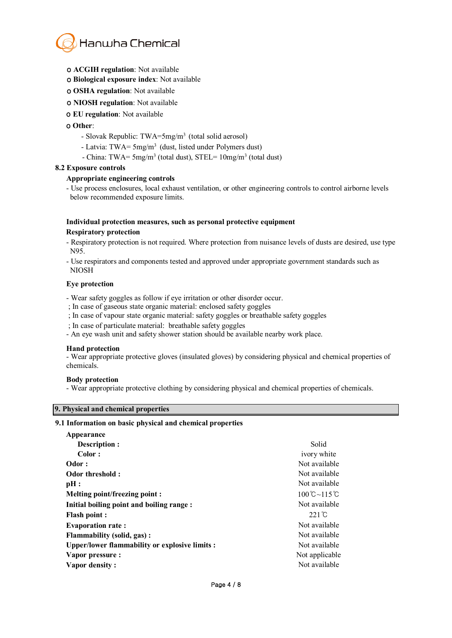

- ο **ACGIH regulation**: Not available
- ο **Biological exposure index**: Not available
- ο **OSHA regulation**: Not available
- ο **NIOSH regulation**: Not available
- ο **EU regulation**: Not available

#### ο **Other**:

- Slovak Republic: TWA=5mg/m<sup>3</sup> (total solid aerosol)
- Latvia: TWA= 5mg/m<sup>3</sup> (dust, listed under Polymers dust)
- China: TWA=  $5mg/m^3$  (total dust), STEL=  $10mg/m^3$  (total dust)

#### **8.2 Exposure controls**

#### **Appropriate engineering controls**

- Use process enclosures, local exhaust ventilation, or other engineering controls to control airborne levels below recommended exposure limits.

# **Individual protection measures, such as personal protective equipment**

#### **Respiratory protection**

- Respiratory protection is not required. Where protection from nuisance levels of dusts are desired, use type N95.
- Use respirators and components tested and approved under appropriate government standards such as NIOSH

#### **Eye protection**

- Wear safety goggles as follow if eye irritation or other disorder occur.
- ; In case of gaseous state organic material: enclosed safety goggles
- ; In case of vapour state organic material: safety goggles or breathable safety goggles
- ; In case of particulate material: breathable safety goggles
- An eye wash unit and safety shower station should be available nearby work place.

#### **Hand protection**

- Wear appropriate protective gloves (insulated gloves) by considering physical and chemical properties of chemicals.

#### **Body protection**

- Wear appropriate protective clothing by considering physical and chemical properties of chemicals.

# **9. Physical and chemical properties**

#### **9.1 Information on basic physical and chemical properties**

| Appearance                                     |                                    |
|------------------------------------------------|------------------------------------|
| Description :                                  | Solid                              |
| Color:                                         | ivory white                        |
| Odor:                                          | Not available                      |
| Odor threshold:                                | Not available                      |
| pH:                                            | Not available                      |
| Melting point/freezing point :                 | $100^{\circ}$ C ~ 115 $^{\circ}$ C |
| Initial boiling point and boiling range:       | Not available                      |
| <b>Flash point:</b>                            | $221^{\circ}C$                     |
| <b>Evaporation rate:</b>                       | Not available                      |
| <b>Flammability (solid, gas):</b>              | Not available                      |
| Upper/lower flammability or explosive limits : | Not available                      |
| Vapor pressure :                               | Not applicable                     |
| Vapor density:                                 | Not available                      |
|                                                |                                    |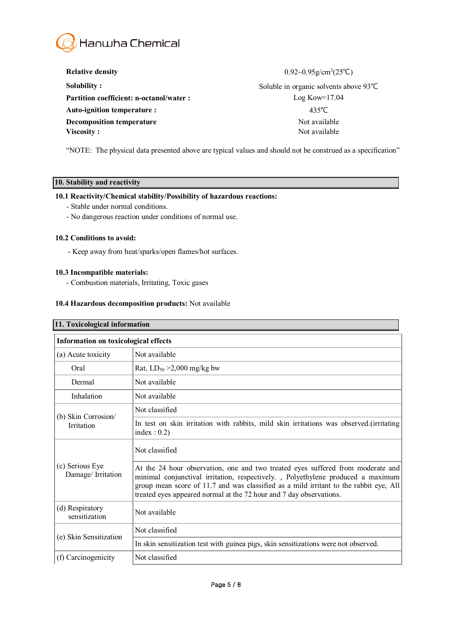

| <b>Relative density</b>                        | $0.92 \sim 0.95$ g/cm <sup>3</sup> $(25^{\circ}C)$ |
|------------------------------------------------|----------------------------------------------------|
| <b>Solubility:</b>                             | Soluble in organic solvents above $93^{\circ}$ C   |
| <b>Partition coefficient: n-octanol/water:</b> | $Log Kow=17.04$                                    |
| Auto-ignition temperature :                    | 435°C                                              |
| Decomposition temperature                      | Not available                                      |
| Viscosity:                                     | Not available                                      |

"NOTE: The physical data presented above are typical values and should not be construed as a specification"

# **10. Stability and reactivity**

# **10.1 Reactivity/Chemical stability/Possibility of hazardous reactions:**

- Stable under normal conditions.
- No dangerous reaction under conditions of normal use.

#### **10.2 Conditions to avoid:**

- Keep away from heat/sparks/open flames/hot surfaces.

# **10.3 Incompatible materials:**

- Combustion materials, Irritating, Toxic gases

# **10.4 Hazardous decomposition products:** Not available

| 11. Toxicological information               |                                                                                                                                                                                                                                                                                                                                     |  |  |  |
|---------------------------------------------|-------------------------------------------------------------------------------------------------------------------------------------------------------------------------------------------------------------------------------------------------------------------------------------------------------------------------------------|--|--|--|
| <b>Information on toxicological effects</b> |                                                                                                                                                                                                                                                                                                                                     |  |  |  |
| (a) Acute toxicity                          | Not available                                                                                                                                                                                                                                                                                                                       |  |  |  |
| Oral                                        | Rat, $LD_{50} > 2,000$ mg/kg bw                                                                                                                                                                                                                                                                                                     |  |  |  |
| Dermal                                      | Not available                                                                                                                                                                                                                                                                                                                       |  |  |  |
| Inhalation                                  | Not available                                                                                                                                                                                                                                                                                                                       |  |  |  |
| (b) Skin Corrosion/<br><b>Irritation</b>    | Not classified                                                                                                                                                                                                                                                                                                                      |  |  |  |
|                                             | In test on skin irritation with rabbits, mild skin irritations was observed. (irritating<br>index : $0.2$ )                                                                                                                                                                                                                         |  |  |  |
| (c) Serious Eye<br>Damage/ Irritation       | Not classified                                                                                                                                                                                                                                                                                                                      |  |  |  |
|                                             | At the 24 hour observation, one and two treated eyes suffered from moderate and<br>minimal conjunctival irritation, respectively. , Polyethylene produced a maximum<br>group mean score of 11.7 and was classified as a mild irritant to the rabbit eye, All<br>treated eyes appeared normal at the 72 hour and 7 day observations. |  |  |  |
| (d) Respiratory<br>sensitization            | Not available                                                                                                                                                                                                                                                                                                                       |  |  |  |
| (e) Skin Sensitization                      | Not classified                                                                                                                                                                                                                                                                                                                      |  |  |  |
|                                             | In skin sensitization test with guinea pigs, skin sensitizations were not observed.                                                                                                                                                                                                                                                 |  |  |  |
| (f) Carcinogenicity                         | Not classified                                                                                                                                                                                                                                                                                                                      |  |  |  |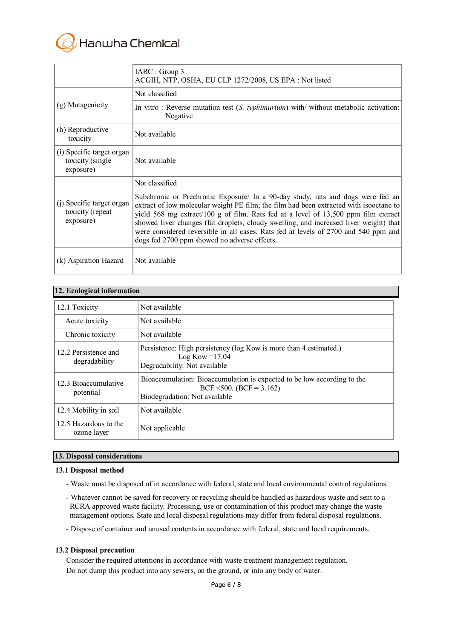

|                                                             | IARC : Group 3<br>ACGIH, NTP, OSHA, EU CLP 1272/2008, US EPA : Not listed                                                                                                                                                                                                                                                                                                                                                                                                                       |
|-------------------------------------------------------------|-------------------------------------------------------------------------------------------------------------------------------------------------------------------------------------------------------------------------------------------------------------------------------------------------------------------------------------------------------------------------------------------------------------------------------------------------------------------------------------------------|
| (g) Mutagenicity                                            | Not classified                                                                                                                                                                                                                                                                                                                                                                                                                                                                                  |
|                                                             | In vitro: Reverse mutation test $(S. typhimurium)$ with/without metabolic activation:<br>Negative                                                                                                                                                                                                                                                                                                                                                                                               |
| (h) Reproductive<br>toxicity                                | Not available                                                                                                                                                                                                                                                                                                                                                                                                                                                                                   |
| (i) Specific target organ<br>toxicity (single)<br>exposure) | Not available                                                                                                                                                                                                                                                                                                                                                                                                                                                                                   |
| (j) Specific target organ<br>toxicity (repeat<br>exposure)  | Not classified                                                                                                                                                                                                                                                                                                                                                                                                                                                                                  |
|                                                             | Subchronic or Prechronic Exposure/ In a 90-day study, rats and dogs were fed an<br>extract of low molecular weight PE film; the film had been extracted with isooctane to<br>yield 568 mg extract/100 g of film. Rats fed at a level of 13,500 ppm film extract<br>showed liver changes (fat droplets, cloudy swelling, and increased liver weight) that<br>were considered reversible in all cases. Rats fed at levels of 2700 and 540 ppm and<br>dogs fed 2700 ppm showed no adverse effects. |
| (k) Aspiration Hazard                                       | Not available                                                                                                                                                                                                                                                                                                                                                                                                                                                                                   |

# **12. Ecological information**

| 12.1 Toxicity                         | Not available                                                                                                                       |
|---------------------------------------|-------------------------------------------------------------------------------------------------------------------------------------|
| Acute toxicity                        | Not available                                                                                                                       |
| Chronic toxicity                      | Not available                                                                                                                       |
| 12.2 Persistence and<br>degradability | Persistence: High persistency (log Kow is more than 4 estimated.)<br>Log Kow = $17.04$<br>Degradability: Not available              |
| 12.3 Bioaccumulative<br>potential     | Bioaccumulation: Bioaccumulation is expected to be low according to the<br>BCF <500. (BCF = 3.162)<br>Biodegradation: Not available |
| 12.4 Mobility in soil                 | Not available                                                                                                                       |
| 12.5 Hazardous to the<br>ozone layer  | Not applicable                                                                                                                      |

#### **13. Disposal considerations**

#### **13.1 Disposal method**

- Waste must be disposed of in accordance with federal, state and local environmental control regulations.
- Whatever cannot be saved for recovery or recycling should be handled as hazardous waste and sent to a RCRA approved waste facility. Processing, use or contamination of this product may change the waste management options. State and local disposal regulations may differ from federal disposal regulations.
- Dispose of container and unused contents in accordance with federal, state and local requirements.

# **13.2 Disposal precaution**

Consider the required attentions in accordance with waste treatment management regulation. Do not dump this product into any sewers, on the ground, or into any body of water.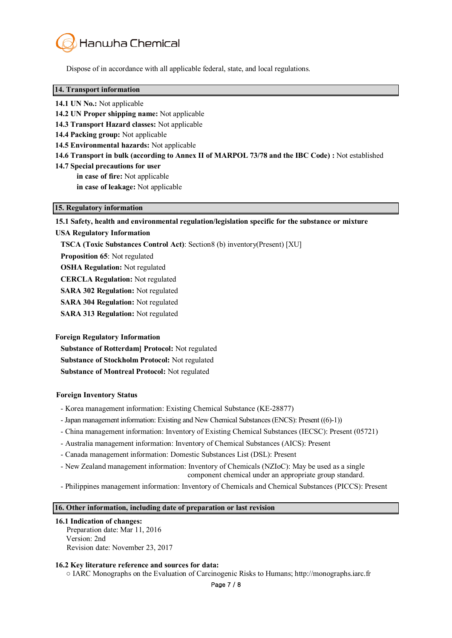

Dispose of in accordance with all applicable federal, state, and local regulations.

#### **14. Transport information**

- **14.1 UN No.:** Not applicable
- **14.2 UN Proper shipping name:** Not applicable
- **14.3 Transport Hazard classes:** Not applicable
- **14.4 Packing group:** Not applicable
- **14.5 Environmental hazards:** Not applicable
- **14.6 Transport in bulk (according to Annex II of MARPOL 73/78 and the IBC Code) :** Not established
- **14.7 Special precautions for user in case of fire:** Not applicable **in case of leakage:** Not applicable

#### **15. Regulatory information**

**15.1 Safety, health and environmental regulation/legislation specific for the substance or mixture**

#### **USA Regulatory Information**

- **TSCA (Toxic Substances Control Act)**: Section8 (b) inventory(Present) [XU]
- **Proposition 65**: Not regulated
- **OSHA Regulation:** Not regulated
- **CERCLA Regulation:** Not regulated
- **SARA 302 Regulation:** Not regulated
- **SARA 304 Regulation:** Not regulated
- **SARA 313 Regulation:** Not regulated

#### **Foreign Regulatory Information**

**Substance of Rotterdam] Protocol:** Not regulated **Substance of Stockholm Protocol:** Not regulated **Substance of Montreal Protocol:** Not regulated

#### **Foreign Inventory Status**

- Korea management information: Existing Chemical Substance (KE-28877)
- Japan management information: Existing and New Chemical Substances(ENCS): Present ((6)-1))
- China management information: Inventory of Existing Chemical Substances (IECSC): Present (05721)
- Australia management information: Inventory of Chemical Substances (AICS): Present
- Canada management information: Domestic Substances List (DSL): Present
- New Zealand management information: Inventory of Chemicals (NZIoC): May be used as a single
	- component chemical under an appropriate group standard.
- Philippines management information: Inventory of Chemicals and Chemical Substances (PICCS): Present

#### **16. Other information, including date of preparation or last revision**

#### **16.1 Indication of changes:**

Preparation date: Mar 11, 2016 Version: 2nd Revision date: November 23, 2017

#### **16.2 Key literature reference and sources for data:**

○ IARC Monographs on the Evaluation of Carcinogenic Risks to Humans; http://monographs.iarc.fr